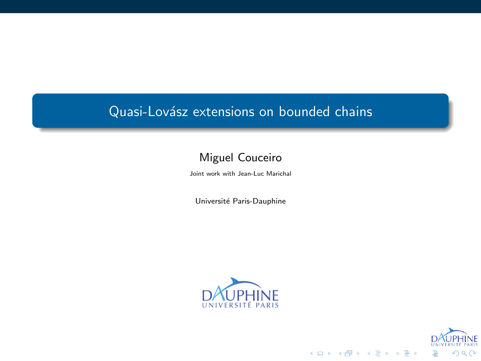Quasi-Lovász extensions on bounded chains

.

Miguel Couceiro Joint work with Jean-Luc Marichal

Université Paris-Dauphine



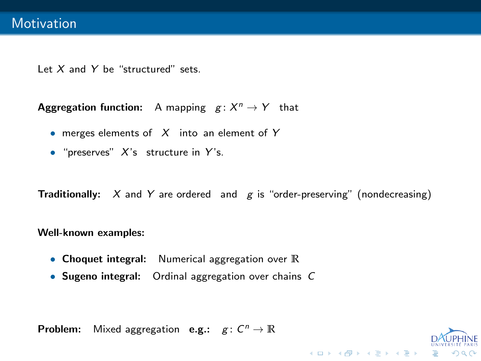#### Motivation

Let *X* and *Y* be "structured" sets.

**Aggregation function:** A mapping *g* : *X <sup>n</sup> → Y* that

- *•* merges elements of *X* into an element of *Y*
- *•* "preserves" *X*'s structure in *Y* 's.

**Traditionally:** *X* and *Y* are ordered and *g* is "order-preserving" (nondecreasing)

**Well-known examples:**

- *•* **Choquet integral:** Numerical aggregation over **R**
- *•* **Sugeno integral:** Ordinal aggregation over chains *C*

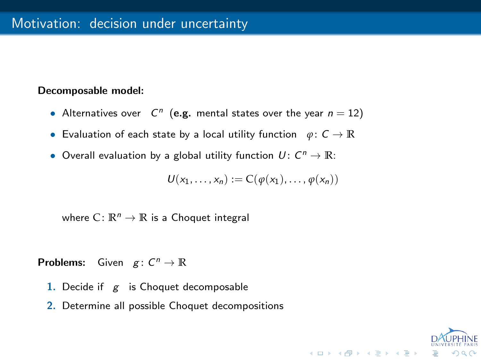# Motivation: decision under uncertainty

**Decomposable model:**

- Alternatives over  $C^n$  (e.g. mental states over the year  $n = 12$ )
- *•* Evaluation of each state by a local utility function *φ*: *C →* **R**
- Overall evaluation by a global utility function  $U: C^n \to \mathbb{R}$ :

$$
U(x_1,\ldots,x_n):=C(\varphi(x_1),\ldots,\varphi(x_n))
$$

where  $C: \mathbb{R}^n \to \mathbb{R}$  is a Choquet integral

#### **Problems:** Given  $g: C^n \to \mathbb{R}$

- **1.** Decide if *g* is Choquet decomposable
- **2.** Determine all possible Choquet decompositions

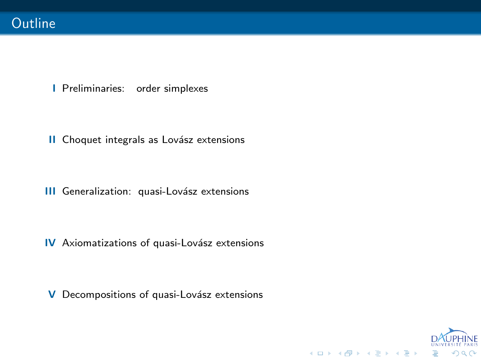### **Outline**

- **I** Preliminaries: order simplexes
- **II** Choquet integrals as Lovász extensions
- **III** Generalization: quasi-Lovász extensions
- **IV** Axiomatizations of quasi-Lovász extensions
- **V** Decompositions of quasi-Lovász extensions

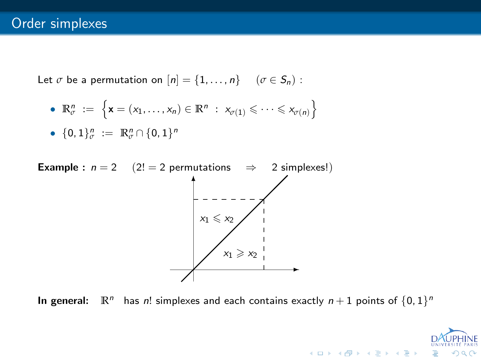# Order simplexes

Let  $\sigma$  be a permutation on  $[n] = \{1, \ldots, n\}$  ( $\sigma \in S_n$ ):

• 
$$
\mathbb{R}_{\sigma}^{n} := \{ \mathbf{x} = (x_1, \dots, x_n) \in \mathbb{R}^{n} : x_{\sigma(1)} \leq \dots \leq x_{\sigma(n)} \}
$$

• 
$$
{0,1}_{\sigma}^{n} := \mathbb{R}_{\sigma}^{n} \cap {0,1}^{n}
$$

**Example :**  $n = 2$  (2! = 2 permutations  $\Rightarrow$  2 simplexes!)



In general:  $\mathbb{R}^n$  has *n*! simplexes and each contains exactly  $n+1$  points of  $\{0,1\}^n$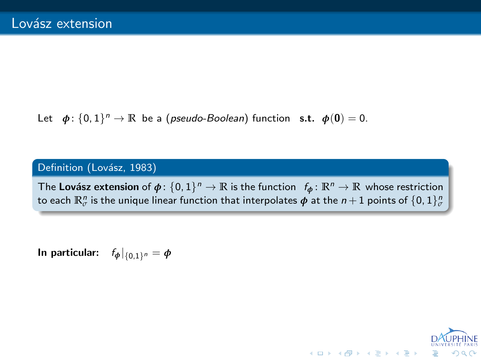### Lovász extension

Let  $\phi$ :  $\{0,1\}$ <sup>n</sup>  $\rightarrow \mathbb{R}$  be a (*pseudo-Boolean*) function **s.t.**  $\phi$ (0) = 0.

Definition (Lovász, 1983)

The Lovász extension of  $\phi: \{0,1\}^n \to \mathbb{R}$  is the function  $f_{\phi} \colon \mathbb{R}^n \to \mathbb{R}$  whose restriction to each  $\mathbb{R}^n_\sigma$  is the unique linear function that interpolates  $\bm{\phi}$  at the  $n+1$  points of  $\{0,1\}^n_\sigma$ 

**In particular:**  $f_{\phi}|_{\{0,1\}^n} = \phi$ 

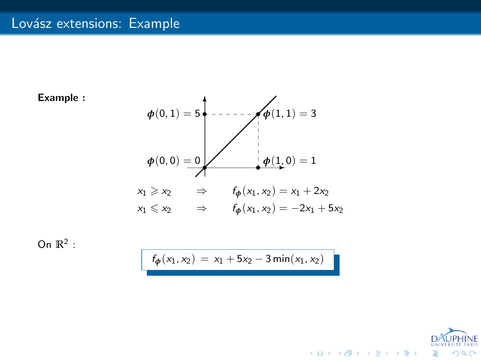# Lovász extensions: Example







 $f_{\phi}(x_1, x_2) = x_1 + 5x_2 - 3 \min(x_1, x_2)$ 

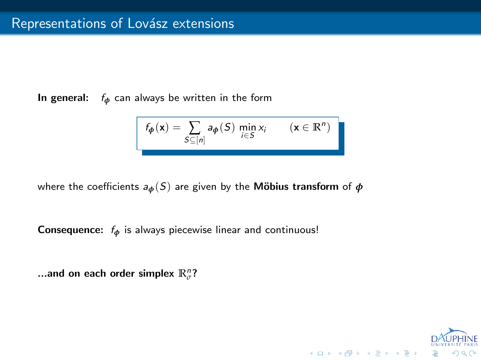# Representations of Lovász extensions

**In general:** *f<sup>ϕ</sup>* can always be written in the form

$$
f_{\boldsymbol{\phi}}(\mathbf{x}) = \sum_{S \subseteq [n]} a_{\boldsymbol{\phi}}(S) \min_{i \in S} x_i \qquad (\mathbf{x} \in \mathbb{R}^n)
$$

where the coefficients  $a_{\phi}(S)$  are given by the **Möbius transform** of  $\phi$ 

**Consequence:** *f<sup>ϕ</sup>* is always piecewise linear and continuous!

...and on each order simplex  $\mathbb{R}^n_{\sigma}$ ?

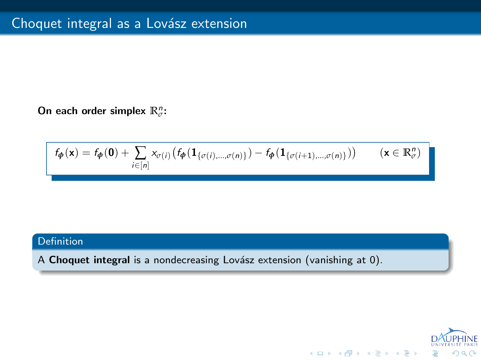# Choquet integral as a Lovász extension

**On each order simplex R***<sup>n</sup> σ* **:**

$$
f_{\boldsymbol{\phi}}(\mathbf{x}) = f_{\boldsymbol{\phi}}(\mathbf{0}) + \sum_{i \in [n]} x_{\sigma(i)} \big( f_{\boldsymbol{\phi}}(\mathbf{1}_{\{\sigma(i),\dots,\sigma(n)\}}) - f_{\boldsymbol{\phi}}(\mathbf{1}_{\{\sigma(i+1),\dots,\sigma(n)\}}) \big) \qquad (\mathbf{x} \in \mathbb{R}_{\sigma}^n)
$$

. Definition

.<br>A **Choquet integral** is a nondecreasing Lovász extension (vanishing at 0).

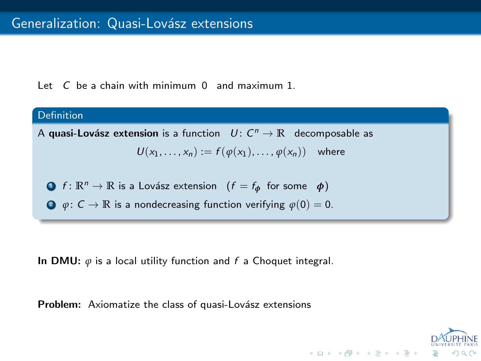### Generalization: Quasi-Lovász extensions

Let *C* be a chain with minimum 0 and maximum 1.

. Definition . A **quasi-Lov´asz extension** is a function *U* : *C <sup>n</sup> →* **R** decomposable as  $U(x_1, \ldots, x_n) := f(\varphi(x_1), \ldots, \varphi(x_n))$  where **1.**  $\mathbb{R}^n \to \mathbb{R}$  is a Lovász extension  $(f = f_\phi \text{ for some } \phi)$ **2**  $\varphi$ :  $C \to \mathbb{R}$  is a nondecreasing function verifying  $\varphi(0) = 0$ .

**In DMU:** *φ* is a local utility function and *f* a Choquet integral.

Problem: Axiomatize the class of quasi-Lovász extensions



. . . . . . . . . . . . . . . . . . . . . . . . . . . . . . . . . . . . . . . . . . . .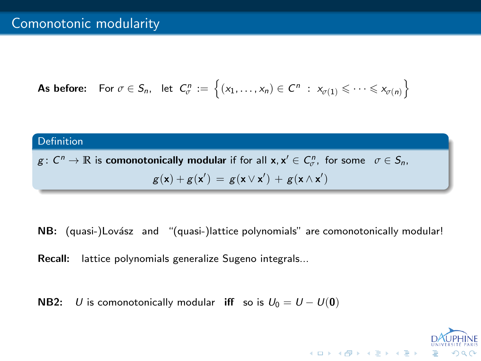# Comonotonic modularity

**As before:** For 
$$
\sigma \in S_n
$$
, let  $C^n_{\sigma} := \{(x_1, \ldots, x_n) \in C^n : x_{\sigma(1)} \leq \cdots \leq x_{\sigma(n)}\}$ 

# . Definition

 $g: C^n \to \mathbb{R}$  is comonotonically modular if for all  $\mathsf{x}, \mathsf{x}' \in C^n_\sigma$ , for some  $\sigma \in S_n$ ,  $g(\mathbf{x}) + g(\mathbf{x}') = g(\mathbf{x} \vee \mathbf{x}') + g(\mathbf{x} \wedge \mathbf{x}')$ 

NB: (quasi-)Lovász and "(quasi-)lattice polynomials" are comonotonically modular!

**Recall:** lattice polynomials generalize Sugeno integrals...

**NB2:** *U* is comonotonically modular **iff** so is  $U_0 = U - U(0)$ 

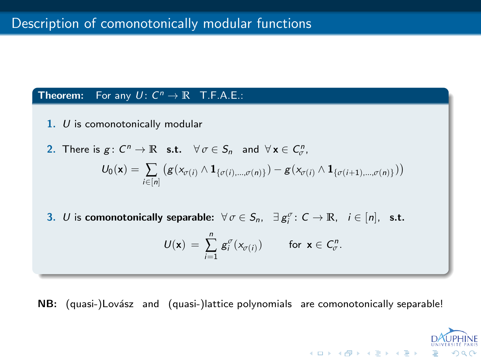# Description of comonotonically modular functions

# **Theorem:** For any  $U: C^n \to \mathbb{R}$  T.F.A.E.:

**1.** *U* is comonotonically modular

2. There is 
$$
g: C^n \to \mathbb{R}
$$
 s.t.  $\forall \sigma \in S_n$  and  $\forall \mathbf{x} \in C^n_{\sigma}$ ,  

$$
U_0(\mathbf{x}) = \sum_{i \in [n]} (g(x_{\sigma(i)} \wedge \mathbf{1}_{\{\sigma(i), \dots, \sigma(n)\}}) - g(x_{\sigma(i)} \wedge \mathbf{1}_{\{\sigma(i+1), \dots, \sigma(n)\}}))
$$

**3.** *U* is comonotonically separable:  $\forall \sigma \in S_n$ ,  $\exists g_i^{\sigma} : C \rightarrow \mathbb{R}$ ,  $i \in [n]$ , s.t.

$$
U(\mathbf{x}) = \sum_{i=1}^n g_i^{\sigma}(x_{\sigma(i)}) \quad \text{for } \mathbf{x} \in C_{\sigma}^n.
$$

**NB:** (quasi-)Lovász and (quasi-)lattice polynomials are comonotonically separable!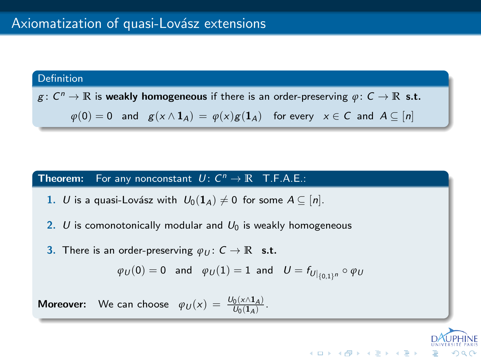# Axiomatization of quasi-Lovász extensions

Definition  
\n
$$
g: C^n \to \mathbb{R}
$$
 is weakly homogeneous if there is an order-preserving  $\varphi: C \to \mathbb{R}$  s.t.  
\n $\varphi(0) = 0$  and  $g(x \wedge 1_A) = \varphi(x)g(1_A)$  for every  $x \in C$  and  $A \subseteq [n]$ 

**Theorem:** For any nonconstant  $U: C^n \to \mathbb{R}$  T.F.A.E.:

1. *U* is a quasi-Lovász with  $U_0(1_A) \neq 0$  for some  $A \subseteq [n]$ .

2.  $U$  is comonotonically modular and  $U_0$  is weakly homogeneous

**3.** There is an order-preserving  $\varphi_U: C \to \mathbb{R}$  s.t.

$$
\varphi_U(0)=0\quad\text{and}\quad \varphi_U(1)=1\ \ \text{and}\quad U=f_{U|_{\{0,1\}^n}}\circ\varphi_U
$$

**Moreover:** We can choose  $\varphi_U(x) = \frac{U_0(x \wedge 1_A)}{U_0(1_A)}$ .

 $\Box \rightarrow \neg \bigoplus \neg \neg \neg \bigoplus \neg \neg \neg \bigoplus \neg \neg \neg \bigoplus \neg \neg \neg \bigoplus \neg \neg \bigoplus \neg \neg \bigoplus \neg \bigoplus$ *UNIVERSITE PARIS* .

. .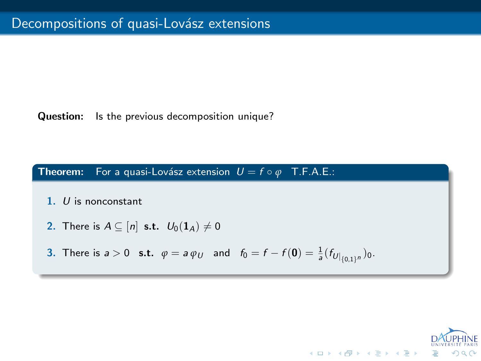# Decompositions of quasi-Lovász extensions

**Question:** Is the previous decomposition unique?